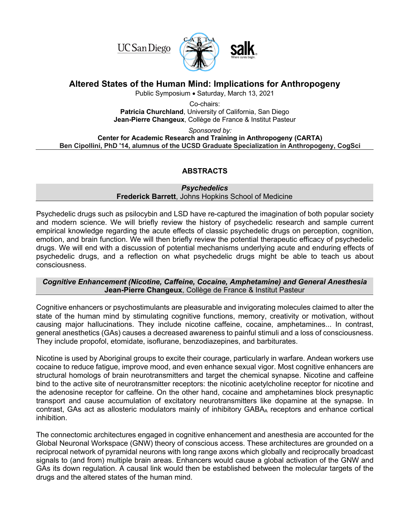**UC** San Diego



# **Altered States of the Human Mind: Implications for Anthropogeny**

Public Symposium • Saturday, March 13, 2021

Co-chairs: **Patricia Churchland**, University of California, San Diego **Jean-Pierre Changeux**, Collège de France & Institut Pasteur

*Sponsored by:* 

**Center for Academic Research and Training in Anthropogeny (CARTA) Ben Cipollini, PhD '14, alumnus of the UCSD Graduate Specialization in Anthropogeny, CogSci**

# **ABSTRACTS**

#### *Psychedelics* **Frederick Barrett**, Johns Hopkins School of Medicine

Psychedelic drugs such as psilocybin and LSD have re-captured the imagination of both popular society and modern science. We will briefly review the history of psychedelic research and sample current empirical knowledge regarding the acute effects of classic psychedelic drugs on perception, cognition, emotion, and brain function. We will then briefly review the potential therapeutic efficacy of psychedelic drugs. We will end with a discussion of potential mechanisms underlying acute and enduring effects of psychedelic drugs, and a reflection on what psychedelic drugs might be able to teach us about consciousness.

## *Cognitive Enhancement (Nicotine, Caffeine, Cocaine, Amphetamine) and General Anesthesia* **Jean-Pierre Changeux**, Collège de France & Institut Pasteur

Cognitive enhancers or psychostimulants are pleasurable and invigorating molecules claimed to alter the state of the human mind by stimulating cognitive functions, memory, creativity or motivation, without causing major hallucinations. They include nicotine caffeine, cocaine, amphetamines... In contrast, general anesthetics (GAs) causes a decreased awareness to painful stimuli and a loss of consciousness. They include propofol, etomidate, isoflurane, benzodiazepines, and barbiturates.

Nicotine is used by Aboriginal groups to excite their courage, particularly in warfare. Andean workers use cocaine to reduce fatigue, improve mood, and even enhance sexual vigor. Most cognitive enhancers are structural homologs of brain neurotransmitters and target the chemical synapse. Nicotine and caffeine bind to the active site of neurotransmitter receptors: the nicotinic acetylcholine receptor for nicotine and the adenosine receptor for caffeine. On the other hand, cocaine and amphetamines block presynaptic transport and cause accumulation of excitatory neurotransmitters like dopamine at the synapse. In contrast, GAs act as allosteric modulators mainly of inhibitory GABAA receptors and enhance cortical inhibition.

The connectomic architectures engaged in cognitive enhancement and anesthesia are accounted for the Global Neuronal Workspace (GNW) theory of conscious access. These architectures are grounded on a reciprocal network of pyramidal neurons with long range axons which globally and reciprocally broadcast signals to (and from) multiple brain areas. Enhancers would cause a global activation of the GNW and GAs its down regulation. A causal link would then be established between the molecular targets of the drugs and the altered states of the human mind.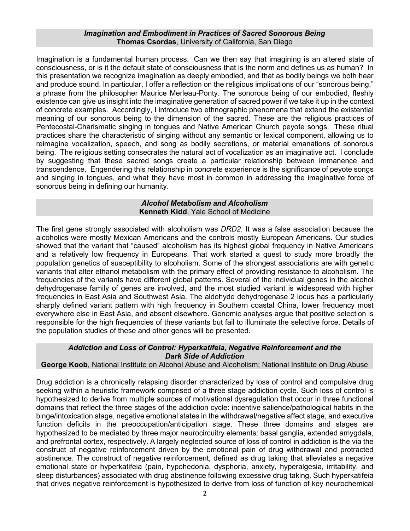#### *Imagination and Embodiment in Practices of Sacred Sonorous Being* **Thomas Csordas**, University of California, San Diego

Imagination is a fundamental human process. Can we then say that imagining is an altered state of consciousness, or is it the default state of consciousness that is the norm and defines us as human? In this presentation we recognize imagination as deeply embodied, and that as bodily beings we both hear and produce sound. In particular, I offer a reflection on the religious implications of our "sonorous being," a phrase from the philosopher Maurice Merleau-Ponty. The sonorous being of our embodied, fleshly existence can give us insight into the imaginative generation of sacred power if we take it up in the context of concrete examples. Accordingly, I introduce two ethnographic phenomena that extend the existential meaning of our sonorous being to the dimension of the sacred. These are the religious practices of Pentecostal-Charismatic singing in tongues and Native American Church peyote songs. These ritual practices share the characteristic of singing without any semantic or lexical component, allowing us to reimagine vocalization, speech, and song as bodily secretions, or material emanations of sonorous being. The religious setting consecrates the natural act of vocalization as an imaginative act. I conclude by suggesting that these sacred songs create a particular relationship between immanence and transcendence. Engendering this relationship in concrete experience is the significance of peyote songs and singing in tongues, and what they have most in common in addressing the imaginative force of sonorous being in defining our humanity.

#### *Alcohol Metabolism and Alcoholism* **Kenneth Kidd**, Yale School of Medicine

The first gene strongly associated with alcoholism was *DRD2*. It was a false association because the alcoholics were mostly Mexican Americans and the controls mostly European Americans. Our studies showed that the variant that "caused" alcoholism has its highest global frequency in Native Americans and a relatively low frequency in Europeans. That work started a quest to study more broadly the population genetics of susceptibility to alcoholism. Some of the strongest associations are with genetic variants that alter ethanol metabolism with the primary effect of providing resistance to alcoholism. The frequencies of the variants have different global patterns. Several of the individual genes in the alcohol dehydrogenase family of genes are involved, and the most studied variant is widespread with higher frequencies in East Asia and Southwest Asia. The aldehyde dehydrogenase 2 locus has a particularly sharply defined variant pattern with high frequency in Southern coastal China, lower frequency most everywhere else in East Asia, and absent elsewhere. Genomic analyses argue that positive selection is responsible for the high frequencies of these variants but fail to illuminate the selective force. Details of the population studies of these and other genes will be presented.

## *Addiction and Loss of Control: Hyperkatifeia, Negative Reinforcement and the Dark Side of Addiction*

# **George Koob**, National Institute on Alcohol Abuse and Alcoholism; National Institute on Drug Abuse

Drug addiction is a chronically relapsing disorder characterized by loss of control and compulsive drug seeking within a heuristic framework comprised of a three stage addiction cycle. Such loss of control is hypothesized to derive from multiple sources of motivational dysregulation that occur in three functional domains that reflect the three stages of the addiction cycle: incentive salience/pathological habits in the binge/intoxication stage, negative emotional states in the withdrawal/negative affect stage, and executive function deficits in the preoccupation/anticipation stage. These three domains and stages are hypothesized to be mediated by three major neurocircuitry elements: basal ganglia, extended amygdala, and prefrontal cortex, respectively. A largely neglected source of loss of control in addiction is the via the construct of negative reinforcement driven by the emotional pain of drug withdrawal and protracted abstinence. The construct of negative reinforcement, defined as drug taking that alleviates a negative emotional state or hyperkatifeia (pain, hypohedonia, dysphoria, anxiety, hyperalgesia, irritability, and sleep disturbances) associated with drug abstinence following excessive drug taking. Such hyperkatifeia that drives negative reinforcement is hypothesized to derive from loss of function of key neurochemical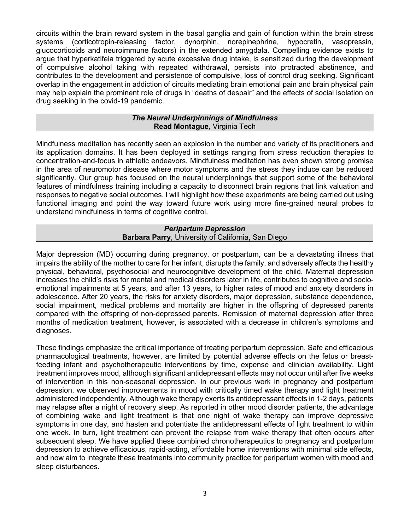circuits within the brain reward system in the basal ganglia and gain of function within the brain stress systems (corticotropin-releasing factor, dynorphin, norepinephrine, hypocretin, vasopressin, glucocorticoids and neuroimmune factors) in the extended amygdala. Compelling evidence exists to argue that hyperkatifeia triggered by acute excessive drug intake, is sensitized during the development of compulsive alcohol taking with repeated withdrawal, persists into protracted abstinence, and contributes to the development and persistence of compulsive, loss of control drug seeking. Significant overlap in the engagement in addiction of circuits mediating brain emotional pain and brain physical pain may help explain the prominent role of drugs in "deaths of despair" and the effects of social isolation on drug seeking in the covid-19 pandemic.

#### *The Neural Underpinnings of Mindfulness* **Read Montague**, Virginia Tech

Mindfulness meditation has recently seen an explosion in the number and variety of its practitioners and its application domains. It has been deployed in settings ranging from stress reduction therapies to concentration-and-focus in athletic endeavors. Mindfulness meditation has even shown strong promise in the area of neuromotor disease where motor symptoms and the stress they induce can be reduced significantly. Our group has focused on the neural underpinnings that support some of the behavioral features of mindfulness training including a capacity to disconnect brain regions that link valuation and responses to negative social outcomes. I will highlight how these experiments are being carried out using functional imaging and point the way toward future work using more fine-grained neural probes to understand mindfulness in terms of cognitive control.

## *Peripartum Depression* **Barbara Parry**, University of California, San Diego

Major depression (MD) occurring during pregnancy, or postpartum, can be a devastating illness that impairs the ability of the mother to care for her infant, disrupts the family, and adversely affects the healthy physical, behavioral, psychosocial and neurocognitive development of the child. Maternal depression increases the child's risks for mental and medical disorders later in life, contributes to cognitive and socioemotional impairments at 5 years, and after 13 years, to higher rates of mood and anxiety disorders in adolescence. After 20 years, the risks for anxiety disorders, major depression, substance dependence, social impairment, medical problems and mortality are higher in the offspring of depressed parents compared with the offspring of non-depressed parents. Remission of maternal depression after three months of medication treatment, however, is associated with a decrease in children's symptoms and diagnoses.

These findings emphasize the critical importance of treating peripartum depression. Safe and efficacious pharmacological treatments, however, are limited by potential adverse effects on the fetus or breastfeeding infant and psychotherapeutic interventions by time, expense and clinician availability. Light treatment improves mood, although significant antidepressant effects may not occur until after five weeks of intervention in this non-seasonal depression. In our previous work in pregnancy and postpartum depression, we observed improvements in mood with critically timed wake therapy and light treatment administered independently. Although wake therapy exerts its antidepressant effects in 1-2 days, patients may relapse after a night of recovery sleep. As reported in other mood disorder patients, the advantage of combining wake and light treatment is that one night of wake therapy can improve depressive symptoms in one day, and hasten and potentiate the antidepressant effects of light treatment to within one week. In turn, light treatment can prevent the relapse from wake therapy that often occurs after subsequent sleep. We have applied these combined chronotherapeutics to pregnancy and postpartum depression to achieve efficacious, rapid-acting, affordable home interventions with minimal side effects, and now aim to integrate these treatments into community practice for peripartum women with mood and sleep disturbances.